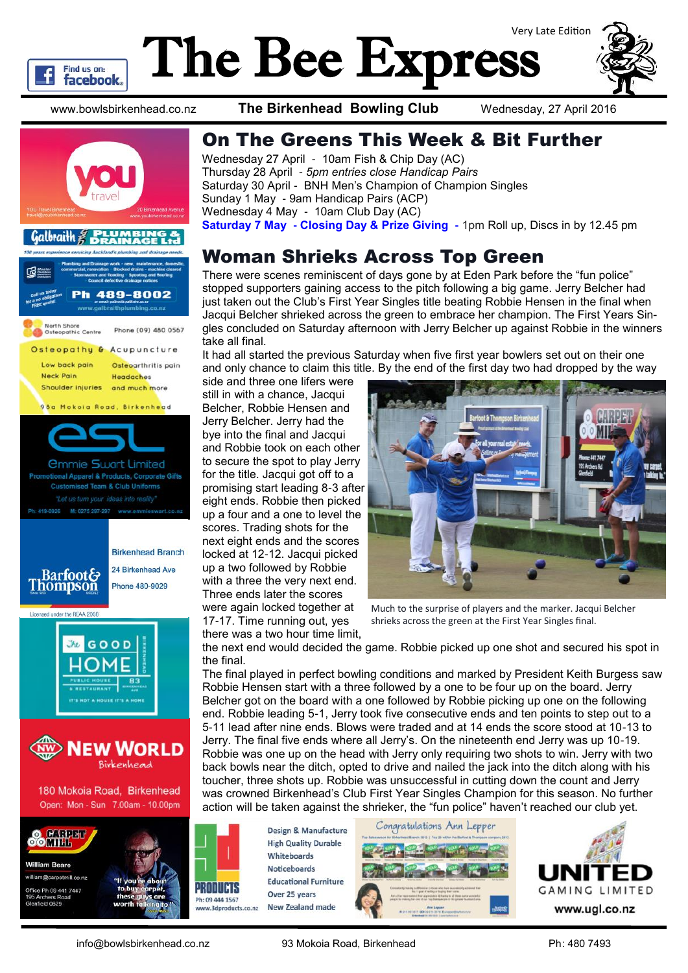

# The Bee Express Very Late Edition



www.bowlsbirkenhead.co.nz **The Birkenhead Bowling Club** Wednesday, 27 April 2016



#### On The Greens This Week & Bit Further

Wednesday 27 April - 10am Fish & Chip Day (AC) Thursday 28 April - *5pm entries close Handicap Pairs* Saturday 30 April - BNH Men's Champion of Champion Singles Sunday 1 May - 9am Handicap Pairs (ACP) Wednesday 4 May - 10am Club Day (AC) **Saturday 7 May - Closing Day & Prize Giving -** 1pm Roll up, Discs in by 12.45 pm

#### Woman Shrieks Across Top Green

There were scenes reminiscent of days gone by at Eden Park before the "fun police" stopped supporters gaining access to the pitch following a big game. Jerry Belcher had just taken out the Club's First Year Singles title beating Robbie Hensen in the final when Jacqui Belcher shrieked across the green to embrace her champion. The First Years Singles concluded on Saturday afternoon with Jerry Belcher up against Robbie in the winners take all final.

It had all started the previous Saturday when five first year bowlers set out on their one and only chance to claim this title. By the end of the first day two had dropped by the way

side and three one lifers were still in with a chance, Jacqui Belcher, Robbie Hensen and Jerry Belcher. Jerry had the bye into the final and Jacqui and Robbie took on each other to secure the spot to play Jerry for the title. Jacqui got off to a promising start leading 8-3 after eight ends. Robbie then picked up a four and a one to level the scores. Trading shots for the next eight ends and the scores locked at 12-12. Jacqui picked up a two followed by Robbie with a three the very next end. Three ends later the scores were again locked together at 17-17. Time running out, yes



Much to the surprise of players and the marker. Jacqui Belcher shrieks across the green at the First Year Singles final.

there was a two hour time limit, the next end would decided the game. Robbie picked up one shot and secured his spot in the final.

The final played in perfect bowling conditions and marked by President Keith Burgess saw Robbie Hensen start with a three followed by a one to be four up on the board. Jerry Belcher got on the board with a one followed by Robbie picking up one on the following end. Robbie leading 5-1, Jerry took five consecutive ends and ten points to step out to a 5-11 lead after nine ends. Blows were traded and at 14 ends the score stood at 10-13 to Jerry. The final five ends where all Jerry's. On the nineteenth end Jerry was up 10-19. Robbie was one up on the head with Jerry only requiring two shots to win. Jerry with two back bowls near the ditch, opted to drive and nailed the jack into the ditch along with his toucher, three shots up. Robbie was unsuccessful in cutting down the count and Jerry was crowned Birkenhead's Club First Year Singles Champion for this season. No further action will be taken against the shrieker, the "fun police" haven't reached our club yet.

**Design & Manufacture High Quality Durable** Whiteboards **Noticeboards Educational Furniture** Over 25 years **New Zealand made** ww.3dproducts.co.nz

PRODUCTS

Ph: 09 444 1567





info@bowlsbirkenhead.co.nz 93 Mokoia Road, Birkenhead Ph: 480 7493